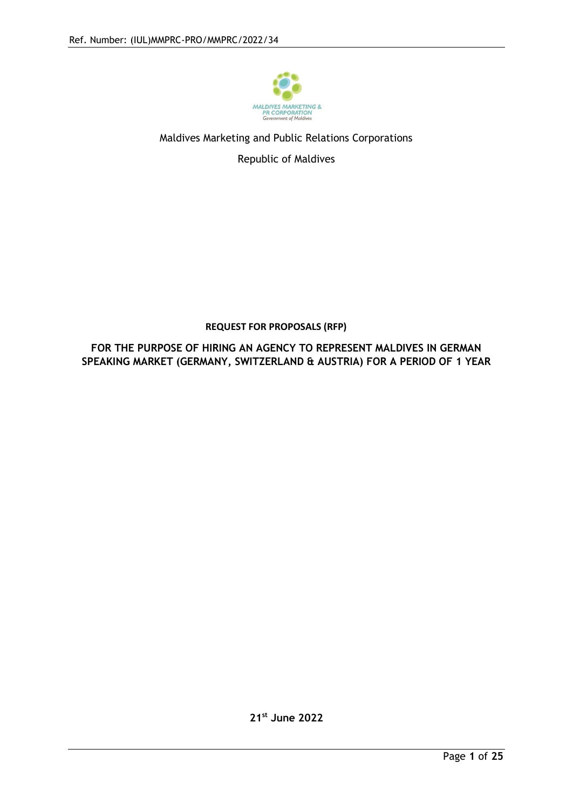

## Maldives Marketing and Public Relations Corporations

Republic of Maldives

## **REQUEST FOR PROPOSALS (RFP)**

**FOR THE PURPOSE OF HIRING AN AGENCY TO REPRESENT MALDIVES IN GERMAN SPEAKING MARKET (GERMANY, SWITZERLAND & AUSTRIA) FOR A PERIOD OF 1 YEAR**

**21st June 2022**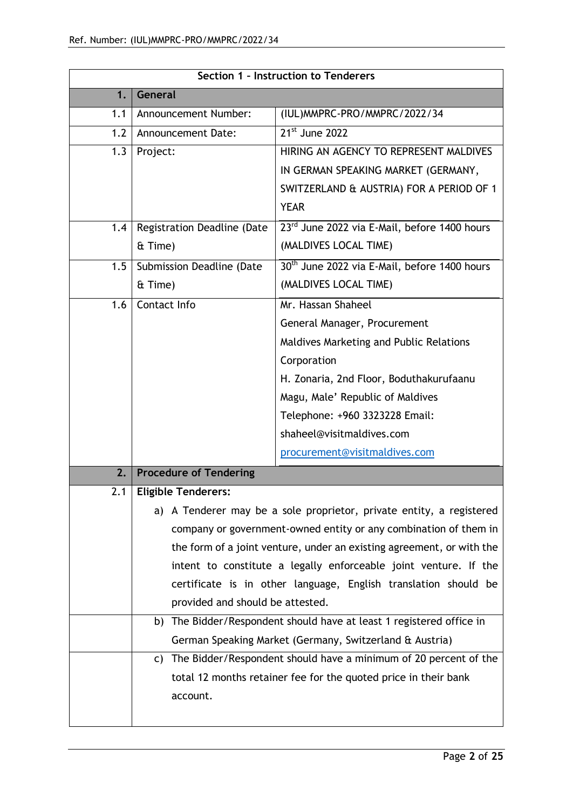| Section 1 - Instruction to Tenderers |                                                                       |                                                                      |
|--------------------------------------|-----------------------------------------------------------------------|----------------------------------------------------------------------|
| 1.                                   | General                                                               |                                                                      |
| 1.1                                  | Announcement Number:                                                  | (IUL) MMPRC-PRO/MMPRC/2022/34                                        |
| 1.2                                  | Announcement Date:                                                    | 21 <sup>st</sup> June 2022                                           |
| 1.3                                  | Project:                                                              | HIRING AN AGENCY TO REPRESENT MALDIVES                               |
|                                      |                                                                       | IN GERMAN SPEAKING MARKET (GERMANY,                                  |
|                                      |                                                                       | SWITZERLAND & AUSTRIA) FOR A PERIOD OF 1                             |
|                                      |                                                                       | <b>YEAR</b>                                                          |
| 1.4                                  | Registration Deadline (Date                                           | 23rd June 2022 via E-Mail, before 1400 hours                         |
|                                      | & Time)                                                               | (MALDIVES LOCAL TIME)                                                |
| 1.5                                  | Submission Deadline (Date                                             | 30 <sup>th</sup> June 2022 via E-Mail, before 1400 hours             |
|                                      | & Time)                                                               | (MALDIVES LOCAL TIME)                                                |
| 1.6                                  | Contact Info                                                          | Mr. Hassan Shaheel                                                   |
|                                      |                                                                       | General Manager, Procurement                                         |
|                                      |                                                                       | Maldives Marketing and Public Relations                              |
|                                      |                                                                       | Corporation                                                          |
|                                      |                                                                       | H. Zonaria, 2nd Floor, Boduthakurufaanu                              |
|                                      |                                                                       | Magu, Male' Republic of Maldives                                     |
|                                      |                                                                       | Telephone: +960 3323228 Email:                                       |
|                                      |                                                                       | shaheel@visitmaldives.com                                            |
|                                      |                                                                       | procurement@visitmaldives.com                                        |
| 2.                                   | <b>Procedure of Tendering</b>                                         |                                                                      |
| 2.1                                  | <b>Eligible Tenderers:</b>                                            |                                                                      |
|                                      |                                                                       | a) A Tenderer may be a sole proprietor, private entity, a registered |
|                                      | company or government-owned entity or any combination of them in      |                                                                      |
|                                      | the form of a joint venture, under an existing agreement, or with the |                                                                      |
|                                      | intent to constitute a legally enforceable joint venture. If the      |                                                                      |
|                                      |                                                                       | certificate is in other language, English translation should be      |
|                                      | provided and should be attested.                                      |                                                                      |
|                                      |                                                                       | b) The Bidder/Respondent should have at least 1 registered office in |
|                                      |                                                                       | German Speaking Market (Germany, Switzerland & Austria)              |
|                                      | C)                                                                    | The Bidder/Respondent should have a minimum of 20 percent of the     |
|                                      |                                                                       | total 12 months retainer fee for the quoted price in their bank      |
|                                      | account.                                                              |                                                                      |
|                                      |                                                                       |                                                                      |
|                                      |                                                                       |                                                                      |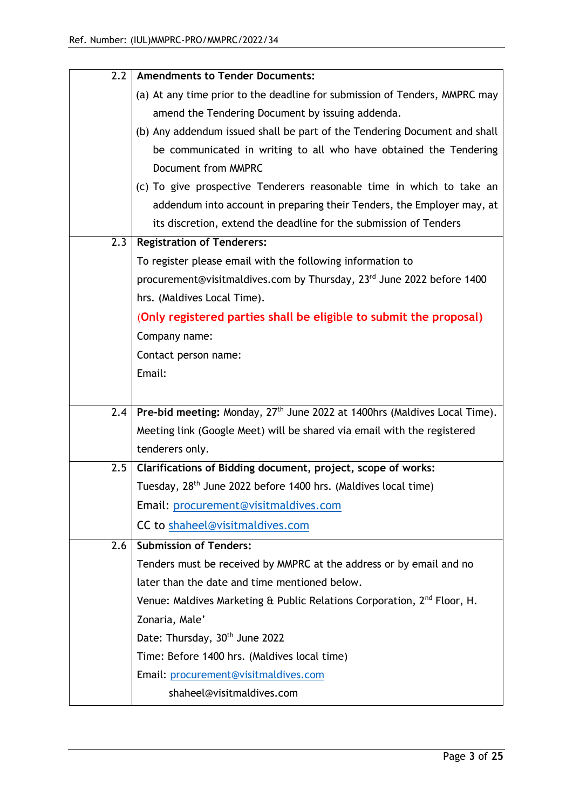| 2.2 | <b>Amendments to Tender Documents:</b>                                                |
|-----|---------------------------------------------------------------------------------------|
|     | (a) At any time prior to the deadline for submission of Tenders, MMPRC may            |
|     | amend the Tendering Document by issuing addenda.                                      |
|     | (b) Any addendum issued shall be part of the Tendering Document and shall             |
|     | be communicated in writing to all who have obtained the Tendering                     |
|     | Document from MMPRC                                                                   |
|     | (c) To give prospective Tenderers reasonable time in which to take an                 |
|     | addendum into account in preparing their Tenders, the Employer may, at                |
|     | its discretion, extend the deadline for the submission of Tenders                     |
| 2.3 | <b>Registration of Tenderers:</b>                                                     |
|     | To register please email with the following information to                            |
|     | procurement@visitmaldives.com by Thursday, 23 <sup>rd</sup> June 2022 before 1400     |
|     | hrs. (Maldives Local Time).                                                           |
|     | (Only registered parties shall be eligible to submit the proposal)                    |
|     | Company name:                                                                         |
|     | Contact person name:                                                                  |
|     | Email:                                                                                |
|     |                                                                                       |
| 2.4 | Pre-bid meeting: Monday, 27 <sup>th</sup> June 2022 at 1400hrs (Maldives Local Time). |
|     | Meeting link (Google Meet) will be shared via email with the registered               |
|     | tenderers only.                                                                       |
| 2.5 | Clarifications of Bidding document, project, scope of works:                          |
|     | Tuesday, 28 <sup>th</sup> June 2022 before 1400 hrs. (Maldives local time)            |
|     | Email: procurement@visitmaldives.com                                                  |
|     | CC to shaheel@visitmaldives.com                                                       |
| 2.6 | <b>Submission of Tenders:</b>                                                         |
|     | Tenders must be received by MMPRC at the address or by email and no                   |
|     | later than the date and time mentioned below.                                         |
|     | Venue: Maldives Marketing & Public Relations Corporation, 2 <sup>nd</sup> Floor, H.   |
|     | Zonaria, Male'                                                                        |
|     | Date: Thursday, 30 <sup>th</sup> June 2022                                            |
|     | Time: Before 1400 hrs. (Maldives local time)                                          |
|     | Email: procurement@visitmaldives.com                                                  |
|     | shaheel@visitmaldives.com                                                             |
|     |                                                                                       |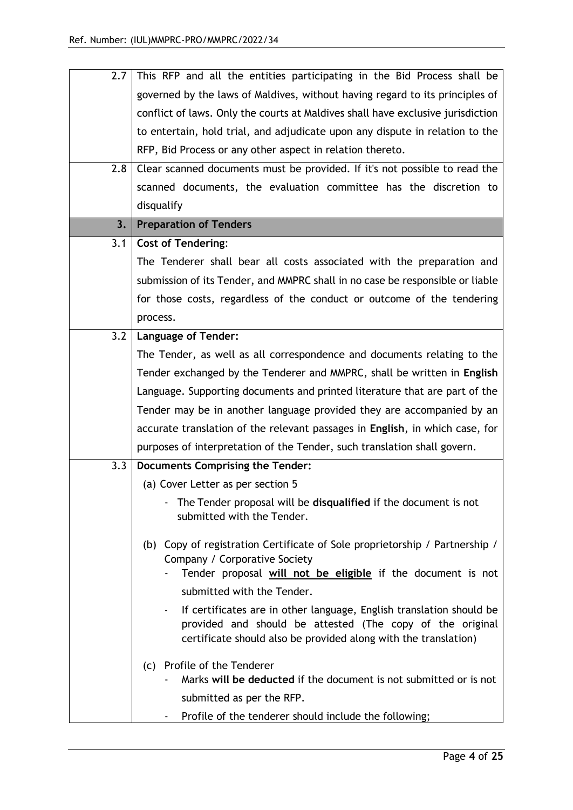| 2.7 <sub>1</sub> | This RFP and all the entities participating in the Bid Process shall be                                      |
|------------------|--------------------------------------------------------------------------------------------------------------|
|                  | governed by the laws of Maldives, without having regard to its principles of                                 |
|                  | conflict of laws. Only the courts at Maldives shall have exclusive jurisdiction                              |
|                  | to entertain, hold trial, and adjudicate upon any dispute in relation to the                                 |
|                  | RFP, Bid Process or any other aspect in relation thereto.                                                    |
| 2.8              | Clear scanned documents must be provided. If it's not possible to read the                                   |
|                  | scanned documents, the evaluation committee has the discretion to                                            |
|                  | disqualify                                                                                                   |
| 3.               | <b>Preparation of Tenders</b>                                                                                |
| 3.1              | <b>Cost of Tendering:</b>                                                                                    |
|                  | The Tenderer shall bear all costs associated with the preparation and                                        |
|                  | submission of its Tender, and MMPRC shall in no case be responsible or liable                                |
|                  | for those costs, regardless of the conduct or outcome of the tendering                                       |
|                  | process.                                                                                                     |
| 3.2              | <b>Language of Tender:</b>                                                                                   |
|                  | The Tender, as well as all correspondence and documents relating to the                                      |
|                  | Tender exchanged by the Tenderer and MMPRC, shall be written in English                                      |
|                  | Language. Supporting documents and printed literature that are part of the                                   |
|                  | Tender may be in another language provided they are accompanied by an                                        |
|                  | accurate translation of the relevant passages in English, in which case, for                                 |
|                  | purposes of interpretation of the Tender, such translation shall govern.                                     |
| 3.3 <sub>2</sub> | <b>Documents Comprising the Tender:</b>                                                                      |
|                  | (a) Cover Letter as per section 5                                                                            |
|                  | The Tender proposal will be disqualified if the document is not                                              |
|                  | submitted with the Tender.                                                                                   |
|                  |                                                                                                              |
|                  | (b) Copy of registration Certificate of Sole proprietorship / Partnership /<br>Company / Corporative Society |
|                  | Tender proposal will not be eligible if the document is not                                                  |
|                  | submitted with the Tender.                                                                                   |
|                  | If certificates are in other language, English translation should be                                         |
|                  | provided and should be attested (The copy of the original                                                    |
|                  | certificate should also be provided along with the translation)                                              |
|                  | (c) Profile of the Tenderer                                                                                  |
|                  | Marks will be deducted if the document is not submitted or is not                                            |
|                  | submitted as per the RFP.                                                                                    |
|                  | Profile of the tenderer should include the following;                                                        |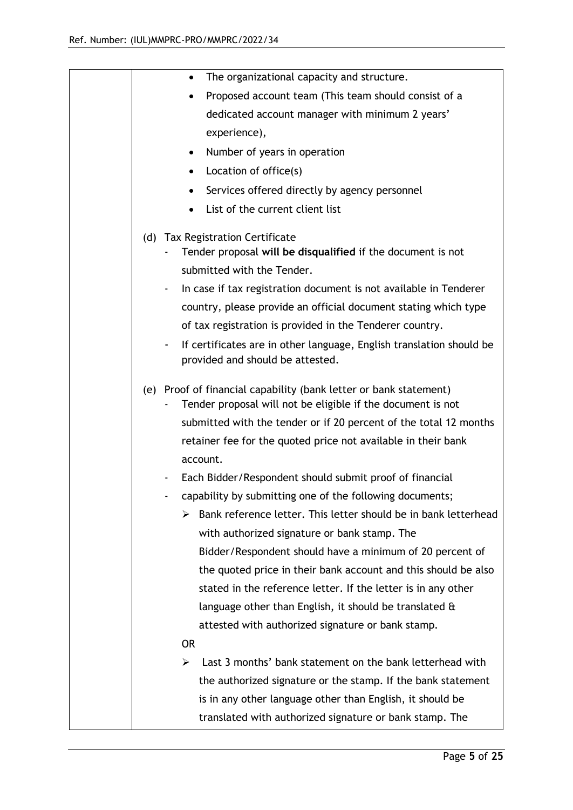| The organizational capacity and structure.<br>$\bullet$                                                                              |
|--------------------------------------------------------------------------------------------------------------------------------------|
| Proposed account team (This team should consist of a<br>٠                                                                            |
| dedicated account manager with minimum 2 years'                                                                                      |
| experience),                                                                                                                         |
| Number of years in operation<br>$\bullet$                                                                                            |
| Location of office(s)<br>$\bullet$                                                                                                   |
| Services offered directly by agency personnel                                                                                        |
| List of the current client list                                                                                                      |
|                                                                                                                                      |
| (d) Tax Registration Certificate                                                                                                     |
| Tender proposal will be disqualified if the document is not                                                                          |
| submitted with the Tender.                                                                                                           |
| In case if tax registration document is not available in Tenderer                                                                    |
| country, please provide an official document stating which type                                                                      |
| of tax registration is provided in the Tenderer country.                                                                             |
| If certificates are in other language, English translation should be<br>$\overline{\phantom{a}}$<br>provided and should be attested. |
| (e) Proof of financial capability (bank letter or bank statement)<br>Tender proposal will not be eligible if the document is not     |
| submitted with the tender or if 20 percent of the total 12 months                                                                    |
| retainer fee for the quoted price not available in their bank                                                                        |
| account.                                                                                                                             |
| Each Bidder/Respondent should submit proof of financial                                                                              |
| capability by submitting one of the following documents;                                                                             |
| Bank reference letter. This letter should be in bank letterhead<br>⋗                                                                 |
| with authorized signature or bank stamp. The                                                                                         |
| Bidder/Respondent should have a minimum of 20 percent of                                                                             |
| the quoted price in their bank account and this should be also                                                                       |
| stated in the reference letter. If the letter is in any other                                                                        |
| language other than English, it should be translated $\alpha$                                                                        |
| attested with authorized signature or bank stamp.                                                                                    |
| <b>OR</b>                                                                                                                            |
| Last 3 months' bank statement on the bank letterhead with<br>⋗                                                                       |
| the authorized signature or the stamp. If the bank statement                                                                         |
| is in any other language other than English, it should be                                                                            |
| translated with authorized signature or bank stamp. The                                                                              |
|                                                                                                                                      |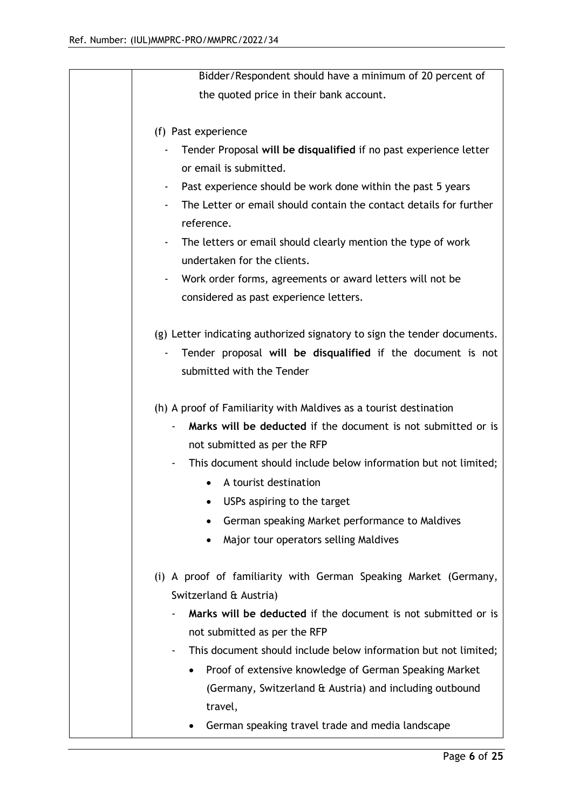| Bidder/Respondent should have a minimum of 20 percent of                 |
|--------------------------------------------------------------------------|
| the quoted price in their bank account.                                  |
|                                                                          |
| (f) Past experience                                                      |
| Tender Proposal will be disqualified if no past experience letter        |
| or email is submitted.                                                   |
| Past experience should be work done within the past 5 years              |
| The Letter or email should contain the contact details for further       |
| reference.                                                               |
| The letters or email should clearly mention the type of work             |
| undertaken for the clients.                                              |
| Work order forms, agreements or award letters will not be                |
| considered as past experience letters.                                   |
|                                                                          |
| (g) Letter indicating authorized signatory to sign the tender documents. |
| Tender proposal will be disqualified if the document is not              |
| submitted with the Tender                                                |
|                                                                          |
| (h) A proof of Familiarity with Maldives as a tourist destination        |
| Marks will be deducted if the document is not submitted or is            |
| not submitted as per the RFP                                             |
| This document should include below information but not limited;          |
| A tourist destination                                                    |
| USPs aspiring to the target                                              |
| German speaking Market performance to Maldives                           |
| Major tour operators selling Maldives                                    |
|                                                                          |
| (i) A proof of familiarity with German Speaking Market (Germany,         |
| Switzerland & Austria)                                                   |
| Marks will be deducted if the document is not submitted or is            |
| not submitted as per the RFP                                             |
| This document should include below information but not limited;<br>٠     |
| Proof of extensive knowledge of German Speaking Market                   |
| (Germany, Switzerland & Austria) and including outbound                  |
| travel,                                                                  |
| German speaking travel trade and media landscape                         |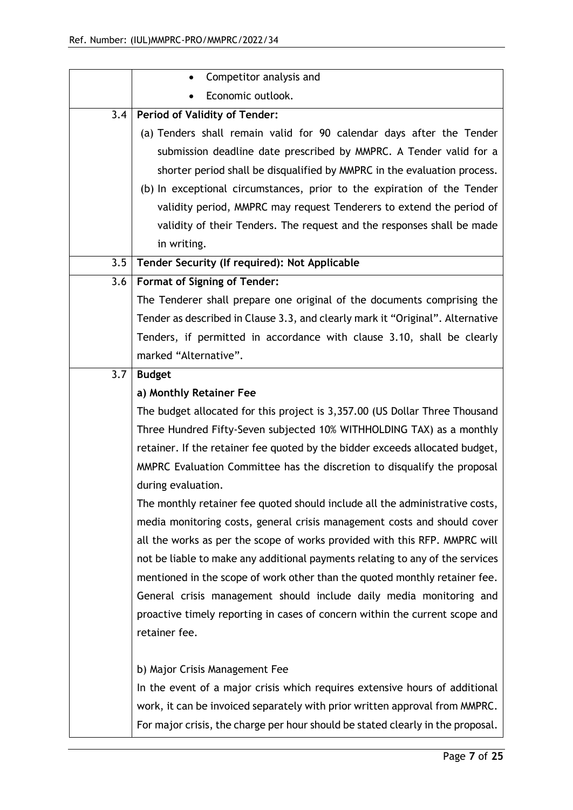|     | Competitor analysis and                                                         |
|-----|---------------------------------------------------------------------------------|
|     | Economic outlook.                                                               |
|     | 3.4   Period of Validity of Tender:                                             |
|     | (a) Tenders shall remain valid for 90 calendar days after the Tender            |
|     | submission deadline date prescribed by MMPRC. A Tender valid for a              |
|     | shorter period shall be disqualified by MMPRC in the evaluation process.        |
|     | (b) In exceptional circumstances, prior to the expiration of the Tender         |
|     | validity period, MMPRC may request Tenderers to extend the period of            |
|     | validity of their Tenders. The request and the responses shall be made          |
|     | in writing.                                                                     |
| 3.5 | Tender Security (If required): Not Applicable                                   |
| 3.6 | <b>Format of Signing of Tender:</b>                                             |
|     | The Tenderer shall prepare one original of the documents comprising the         |
|     | Tender as described in Clause 3.3, and clearly mark it "Original". Alternative  |
|     | Tenders, if permitted in accordance with clause 3.10, shall be clearly          |
|     | marked "Alternative".                                                           |
| 3.7 | <b>Budget</b>                                                                   |
|     | a) Monthly Retainer Fee                                                         |
|     | The budget allocated for this project is 3,357.00 (US Dollar Three Thousand     |
|     | Three Hundred Fifty-Seven subjected 10% WITHHOLDING TAX) as a monthly           |
|     | retainer. If the retainer fee quoted by the bidder exceeds allocated budget,    |
|     | MMPRC Evaluation Committee has the discretion to disqualify the proposal        |
|     | during evaluation.                                                              |
|     | The monthly retainer fee quoted should include all the administrative costs,    |
|     | media monitoring costs, general crisis management costs and should cover        |
|     | all the works as per the scope of works provided with this RFP. MMPRC will      |
|     | not be liable to make any additional payments relating to any of the services   |
|     | mentioned in the scope of work other than the quoted monthly retainer fee.      |
|     | General crisis management should include daily media monitoring and             |
|     | proactive timely reporting in cases of concern within the current scope and     |
|     | retainer fee.                                                                   |
|     |                                                                                 |
|     | b) Major Crisis Management Fee                                                  |
|     | In the event of a major crisis which requires extensive hours of additional     |
|     | work, it can be invoiced separately with prior written approval from MMPRC.     |
|     | For major crisis, the charge per hour should be stated clearly in the proposal. |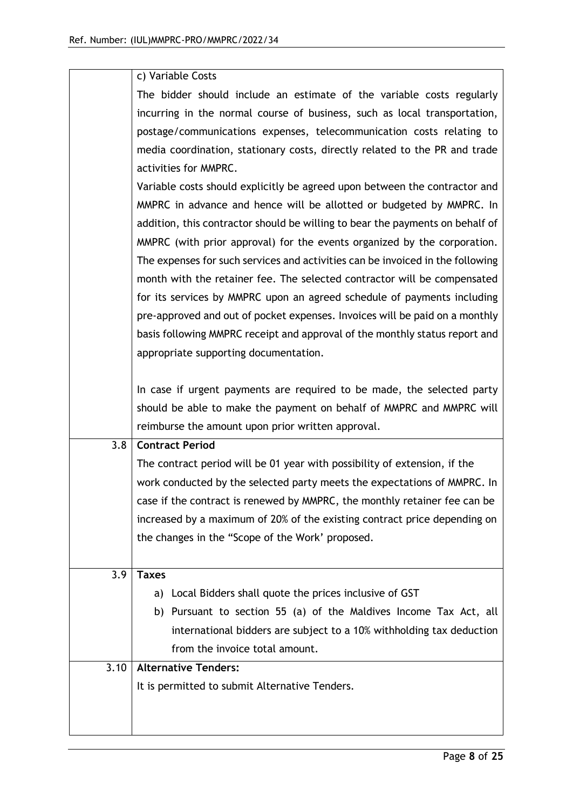|      | c) Variable Costs                                                              |
|------|--------------------------------------------------------------------------------|
|      | The bidder should include an estimate of the variable costs regularly          |
|      | incurring in the normal course of business, such as local transportation,      |
|      | postage/communications expenses, telecommunication costs relating to           |
|      | media coordination, stationary costs, directly related to the PR and trade     |
|      | activities for MMPRC.                                                          |
|      | Variable costs should explicitly be agreed upon between the contractor and     |
|      | MMPRC in advance and hence will be allotted or budgeted by MMPRC. In           |
|      | addition, this contractor should be willing to bear the payments on behalf of  |
|      | MMPRC (with prior approval) for the events organized by the corporation.       |
|      | The expenses for such services and activities can be invoiced in the following |
|      | month with the retainer fee. The selected contractor will be compensated       |
|      | for its services by MMPRC upon an agreed schedule of payments including        |
|      | pre-approved and out of pocket expenses. Invoices will be paid on a monthly    |
|      | basis following MMPRC receipt and approval of the monthly status report and    |
|      | appropriate supporting documentation.                                          |
|      |                                                                                |
|      | In case if urgent payments are required to be made, the selected party         |
|      | should be able to make the payment on behalf of MMPRC and MMPRC will           |
|      | reimburse the amount upon prior written approval.                              |
| 3.8  | <b>Contract Period</b>                                                         |
|      | The contract period will be 01 year with possibility of extension, if the      |
|      | work conducted by the selected party meets the expectations of MMPRC. In       |
|      | case if the contract is renewed by MMPRC, the monthly retainer fee can be      |
|      | increased by a maximum of 20% of the existing contract price depending on      |
|      | the changes in the "Scope of the Work' proposed.                               |
|      |                                                                                |
| 3.9  | <b>Taxes</b>                                                                   |
|      | a) Local Bidders shall quote the prices inclusive of GST                       |
|      | b) Pursuant to section 55 (a) of the Maldives Income Tax Act, all              |
|      | international bidders are subject to a 10% withholding tax deduction           |
|      | from the invoice total amount.                                                 |
| 3.10 | <b>Alternative Tenders:</b>                                                    |
|      | It is permitted to submit Alternative Tenders.                                 |
|      |                                                                                |
|      |                                                                                |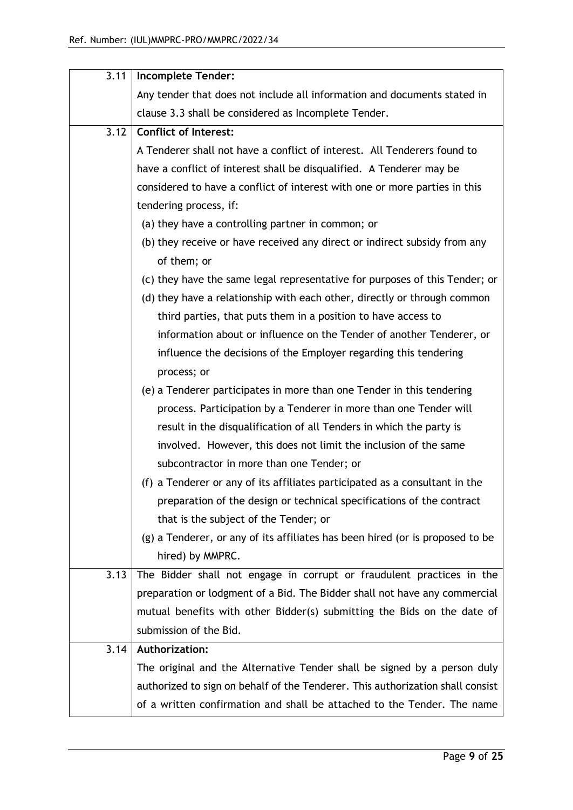| 3.11 | <b>Incomplete Tender:</b>                                                      |
|------|--------------------------------------------------------------------------------|
|      | Any tender that does not include all information and documents stated in       |
|      | clause 3.3 shall be considered as Incomplete Tender.                           |
| 3.12 | <b>Conflict of Interest:</b>                                                   |
|      | A Tenderer shall not have a conflict of interest. All Tenderers found to       |
|      | have a conflict of interest shall be disqualified. A Tenderer may be           |
|      | considered to have a conflict of interest with one or more parties in this     |
|      | tendering process, if:                                                         |
|      | (a) they have a controlling partner in common; or                              |
|      | (b) they receive or have received any direct or indirect subsidy from any      |
|      | of them; or                                                                    |
|      | (c) they have the same legal representative for purposes of this Tender; or    |
|      | (d) they have a relationship with each other, directly or through common       |
|      | third parties, that puts them in a position to have access to                  |
|      | information about or influence on the Tender of another Tenderer, or           |
|      | influence the decisions of the Employer regarding this tendering               |
|      | process; or                                                                    |
|      | (e) a Tenderer participates in more than one Tender in this tendering          |
|      | process. Participation by a Tenderer in more than one Tender will              |
|      | result in the disqualification of all Tenders in which the party is            |
|      | involved. However, this does not limit the inclusion of the same               |
|      | subcontractor in more than one Tender; or                                      |
|      | (f) a Tenderer or any of its affiliates participated as a consultant in the    |
|      | preparation of the design or technical specifications of the contract          |
|      | that is the subject of the Tender; or                                          |
|      | (g) a Tenderer, or any of its affiliates has been hired (or is proposed to be  |
|      | hired) by MMPRC.                                                               |
| 3.13 | The Bidder shall not engage in corrupt or fraudulent practices in the          |
|      | preparation or lodgment of a Bid. The Bidder shall not have any commercial     |
|      | mutual benefits with other Bidder(s) submitting the Bids on the date of        |
|      | submission of the Bid.                                                         |
| 3.14 | Authorization:                                                                 |
|      | The original and the Alternative Tender shall be signed by a person duly       |
|      | authorized to sign on behalf of the Tenderer. This authorization shall consist |
|      | of a written confirmation and shall be attached to the Tender. The name        |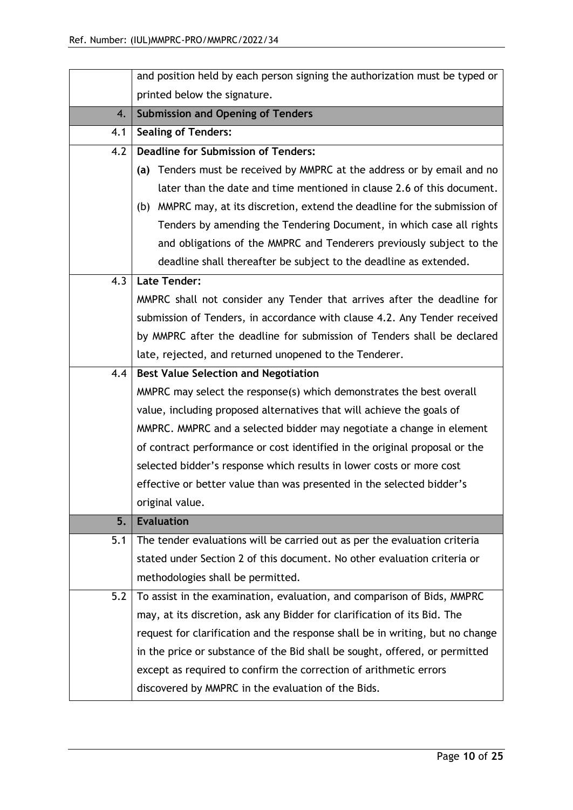|     | and position held by each person signing the authorization must be typed or   |  |
|-----|-------------------------------------------------------------------------------|--|
|     | printed below the signature.                                                  |  |
| 4.  | <b>Submission and Opening of Tenders</b>                                      |  |
| 4.1 | <b>Sealing of Tenders:</b>                                                    |  |
| 4.2 | <b>Deadline for Submission of Tenders:</b>                                    |  |
|     | (a) Tenders must be received by MMPRC at the address or by email and no       |  |
|     | later than the date and time mentioned in clause 2.6 of this document.        |  |
|     | (b) MMPRC may, at its discretion, extend the deadline for the submission of   |  |
|     | Tenders by amending the Tendering Document, in which case all rights          |  |
|     | and obligations of the MMPRC and Tenderers previously subject to the          |  |
|     | deadline shall thereafter be subject to the deadline as extended.             |  |
| 4.3 | <b>Late Tender:</b>                                                           |  |
|     | MMPRC shall not consider any Tender that arrives after the deadline for       |  |
|     | submission of Tenders, in accordance with clause 4.2. Any Tender received     |  |
|     | by MMPRC after the deadline for submission of Tenders shall be declared       |  |
|     | late, rejected, and returned unopened to the Tenderer.                        |  |
| 4.4 | <b>Best Value Selection and Negotiation</b>                                   |  |
|     | MMPRC may select the response(s) which demonstrates the best overall          |  |
|     | value, including proposed alternatives that will achieve the goals of         |  |
|     | MMPRC. MMPRC and a selected bidder may negotiate a change in element          |  |
|     | of contract performance or cost identified in the original proposal or the    |  |
|     | selected bidder's response which results in lower costs or more cost          |  |
|     | effective or better value than was presented in the selected bidder's         |  |
|     | original value.                                                               |  |
| 5.  | <b>Evaluation</b>                                                             |  |
| 5.1 | The tender evaluations will be carried out as per the evaluation criteria     |  |
|     | stated under Section 2 of this document. No other evaluation criteria or      |  |
|     | methodologies shall be permitted.                                             |  |
| 5.2 | To assist in the examination, evaluation, and comparison of Bids, MMPRC       |  |
|     | may, at its discretion, ask any Bidder for clarification of its Bid. The      |  |
|     | request for clarification and the response shall be in writing, but no change |  |
|     | in the price or substance of the Bid shall be sought, offered, or permitted   |  |
|     | except as required to confirm the correction of arithmetic errors             |  |
|     | discovered by MMPRC in the evaluation of the Bids.                            |  |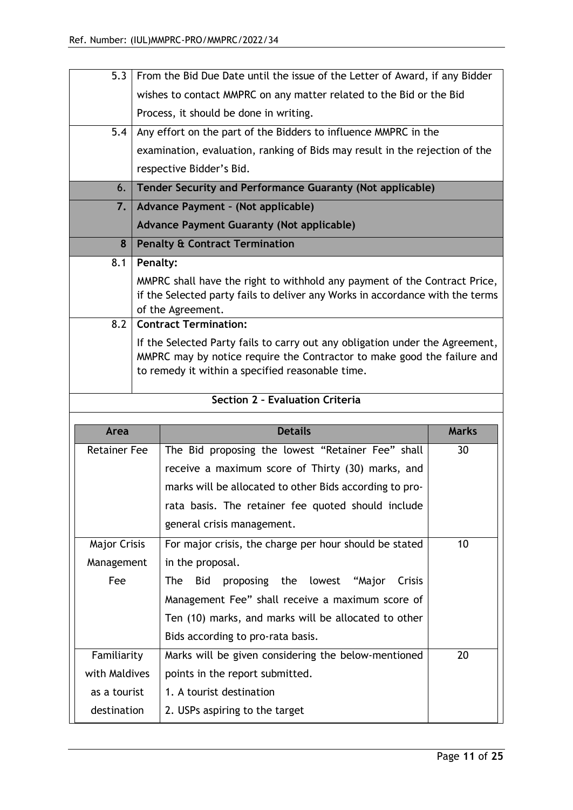| 5.3                         |                                                                 |                                                                                                    |              |
|-----------------------------|-----------------------------------------------------------------|----------------------------------------------------------------------------------------------------|--------------|
|                             |                                                                 | From the Bid Due Date until the issue of the Letter of Award, if any Bidder                        |              |
|                             |                                                                 | wishes to contact MMPRC on any matter related to the Bid or the Bid                                |              |
|                             |                                                                 | Process, it should be done in writing.                                                             |              |
| 5.4                         | Any effort on the part of the Bidders to influence MMPRC in the |                                                                                                    |              |
|                             |                                                                 | examination, evaluation, ranking of Bids may result in the rejection of the                        |              |
|                             |                                                                 | respective Bidder's Bid.                                                                           |              |
| 6.                          |                                                                 | Tender Security and Performance Guaranty (Not applicable)                                          |              |
| 7.                          |                                                                 | Advance Payment - (Not applicable)                                                                 |              |
|                             |                                                                 | <b>Advance Payment Guaranty (Not applicable)</b>                                                   |              |
| 8                           |                                                                 | <b>Penalty &amp; Contract Termination</b>                                                          |              |
| 8.1                         | Penalty:                                                        |                                                                                                    |              |
|                             |                                                                 | MMPRC shall have the right to withhold any payment of the Contract Price,                          |              |
|                             |                                                                 | if the Selected party fails to deliver any Works in accordance with the terms<br>of the Agreement. |              |
| 8.2                         |                                                                 | <b>Contract Termination:</b>                                                                       |              |
|                             |                                                                 | If the Selected Party fails to carry out any obligation under the Agreement,                       |              |
|                             |                                                                 | MMPRC may by notice require the Contractor to make good the failure and                            |              |
|                             |                                                                 | to remedy it within a specified reasonable time.                                                   |              |
|                             |                                                                 |                                                                                                    |              |
|                             |                                                                 | Section 2 - Evaluation Criteria                                                                    |              |
|                             |                                                                 |                                                                                                    |              |
| Area                        |                                                                 | <b>Details</b>                                                                                     | <b>Marks</b> |
| <b>Retainer Fee</b>         |                                                                 | The Bid proposing the lowest "Retainer Fee" shall                                                  | 30           |
|                             |                                                                 | receive a maximum score of Thirty (30) marks, and                                                  |              |
|                             |                                                                 | marks will be allocated to other Bids according to pro-                                            |              |
|                             |                                                                 | rata basis. The retainer fee quoted should include                                                 |              |
|                             |                                                                 | general crisis management.                                                                         |              |
| <b>Major Crisis</b>         |                                                                 | For major crisis, the charge per hour should be stated                                             | 10           |
| Management                  |                                                                 | in the proposal.                                                                                   |              |
| Fee                         |                                                                 | <b>The</b><br><b>Bid</b><br>proposing the lowest "Major<br>Crisis                                  |              |
|                             |                                                                 | Management Fee" shall receive a maximum score of                                                   |              |
|                             |                                                                 | Ten (10) marks, and marks will be allocated to other                                               |              |
|                             |                                                                 | Bids according to pro-rata basis.                                                                  |              |
| Familiarity                 |                                                                 | Marks will be given considering the below-mentioned                                                | 20           |
| with Maldives               |                                                                 | points in the report submitted.                                                                    |              |
| as a tourist<br>destination |                                                                 | 1. A tourist destination<br>2. USPs aspiring to the target                                         |              |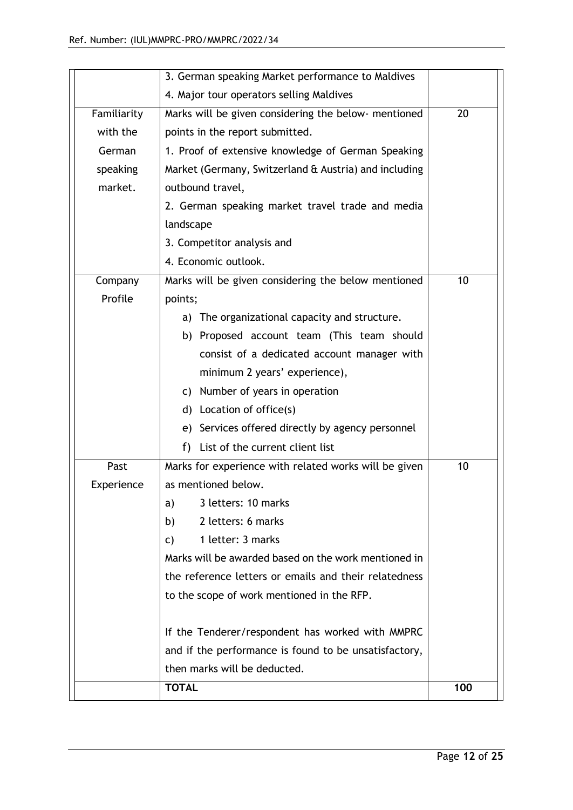|             | 3. German speaking Market performance to Maldives     |     |
|-------------|-------------------------------------------------------|-----|
|             | 4. Major tour operators selling Maldives              |     |
| Familiarity | Marks will be given considering the below- mentioned  | 20  |
| with the    | points in the report submitted.                       |     |
| German      | 1. Proof of extensive knowledge of German Speaking    |     |
| speaking    | Market (Germany, Switzerland & Austria) and including |     |
| market.     | outbound travel,                                      |     |
|             | 2. German speaking market travel trade and media      |     |
|             | landscape                                             |     |
|             | 3. Competitor analysis and                            |     |
|             | 4. Economic outlook.                                  |     |
| Company     | Marks will be given considering the below mentioned   | 10  |
| Profile     | points;                                               |     |
|             | The organizational capacity and structure.<br>a)      |     |
|             | b) Proposed account team (This team should            |     |
|             | consist of a dedicated account manager with           |     |
|             | minimum 2 years' experience),                         |     |
|             | c) Number of years in operation                       |     |
|             | Location of office(s)<br>d)                           |     |
|             | Services offered directly by agency personnel<br>e)   |     |
|             | f)<br>List of the current client list                 |     |
| Past        | Marks for experience with related works will be given | 10  |
| Experience  | as mentioned below.                                   |     |
|             | 3 letters: 10 marks<br>a)                             |     |
|             | 2 letters: 6 marks<br>b)                              |     |
|             | 1 letter: 3 marks<br>C)                               |     |
|             | Marks will be awarded based on the work mentioned in  |     |
|             | the reference letters or emails and their relatedness |     |
|             | to the scope of work mentioned in the RFP.            |     |
|             | If the Tenderer/respondent has worked with MMPRC      |     |
|             | and if the performance is found to be unsatisfactory, |     |
|             | then marks will be deducted.                          |     |
|             | <b>TOTAL</b>                                          | 100 |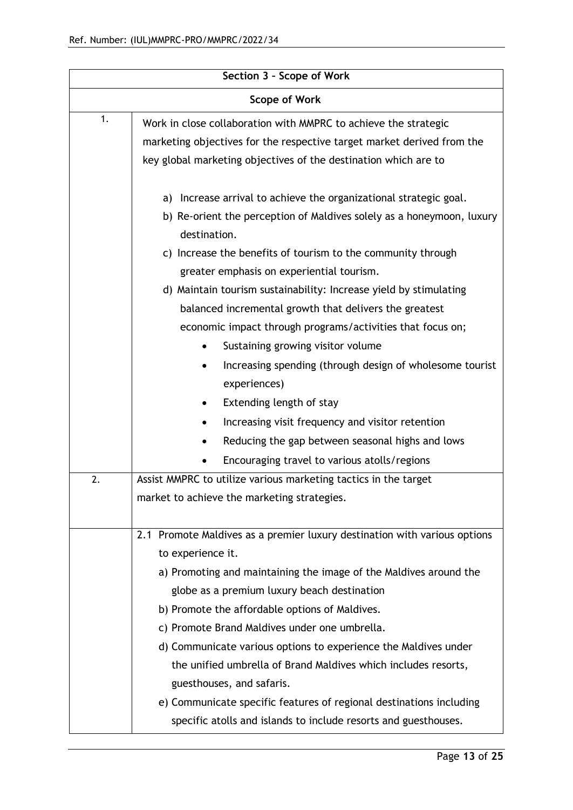| Section 3 - Scope of Work |                                                                           |  |
|---------------------------|---------------------------------------------------------------------------|--|
| <b>Scope of Work</b>      |                                                                           |  |
| 1.                        | Work in close collaboration with MMPRC to achieve the strategic           |  |
|                           | marketing objectives for the respective target market derived from the    |  |
|                           | key global marketing objectives of the destination which are to           |  |
|                           | Increase arrival to achieve the organizational strategic goal.<br>a)      |  |
|                           | b) Re-orient the perception of Maldives solely as a honeymoon, luxury     |  |
|                           | destination.                                                              |  |
|                           | Increase the benefits of tourism to the community through<br>C)           |  |
|                           | greater emphasis on experiential tourism.                                 |  |
|                           | d) Maintain tourism sustainability: Increase yield by stimulating         |  |
|                           | balanced incremental growth that delivers the greatest                    |  |
|                           | economic impact through programs/activities that focus on;                |  |
|                           | Sustaining growing visitor volume<br>$\bullet$                            |  |
|                           | Increasing spending (through design of wholesome tourist                  |  |
|                           | experiences)                                                              |  |
|                           | Extending length of stay                                                  |  |
|                           | Increasing visit frequency and visitor retention                          |  |
|                           | Reducing the gap between seasonal highs and lows                          |  |
|                           | Encouraging travel to various atolls/regions                              |  |
| 2.                        | Assist MMPRC to utilize various marketing tactics in the target           |  |
|                           | market to achieve the marketing strategies.                               |  |
|                           |                                                                           |  |
|                           | 2.1 Promote Maldives as a premier luxury destination with various options |  |
|                           | to experience it.                                                         |  |
|                           | a) Promoting and maintaining the image of the Maldives around the         |  |
|                           | globe as a premium luxury beach destination                               |  |
|                           | b) Promote the affordable options of Maldives.                            |  |
|                           | c) Promote Brand Maldives under one umbrella.                             |  |
|                           | d) Communicate various options to experience the Maldives under           |  |
|                           | the unified umbrella of Brand Maldives which includes resorts,            |  |
|                           | guesthouses, and safaris.                                                 |  |
|                           | e) Communicate specific features of regional destinations including       |  |
|                           | specific atolls and islands to include resorts and guesthouses.           |  |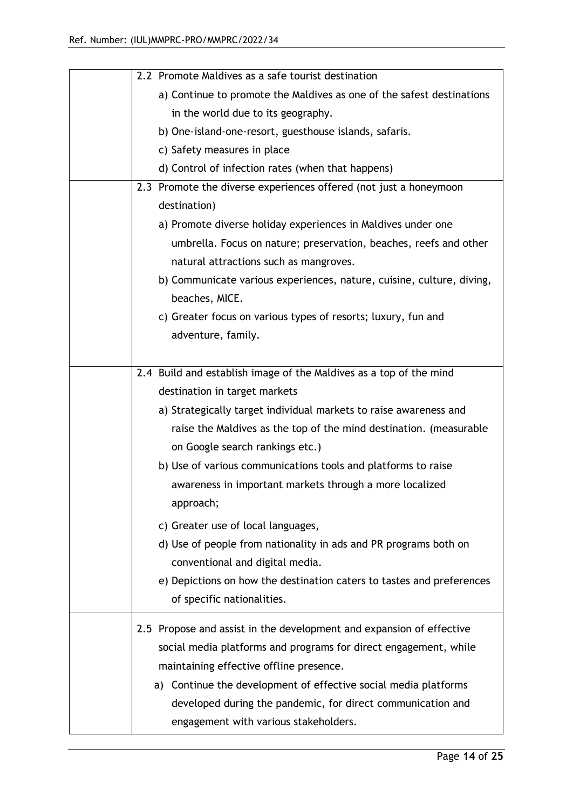| 2.2 Promote Maldives as a safe tourist destination                    |
|-----------------------------------------------------------------------|
| a) Continue to promote the Maldives as one of the safest destinations |
| in the world due to its geography.                                    |
| b) One-island-one-resort, guesthouse islands, safaris.                |
| c) Safety measures in place                                           |
| d) Control of infection rates (when that happens)                     |
| 2.3 Promote the diverse experiences offered (not just a honeymoon     |
| destination)                                                          |
| a) Promote diverse holiday experiences in Maldives under one          |
| umbrella. Focus on nature; preservation, beaches, reefs and other     |
| natural attractions such as mangroves.                                |
| b) Communicate various experiences, nature, cuisine, culture, diving, |
| beaches, MICE.                                                        |
| c) Greater focus on various types of resorts; luxury, fun and         |
| adventure, family.                                                    |
|                                                                       |
| 2.4 Build and establish image of the Maldives as a top of the mind    |
| destination in target markets                                         |
| a) Strategically target individual markets to raise awareness and     |
| raise the Maldives as the top of the mind destination. (measurable    |
| on Google search rankings etc.)                                       |
| b) Use of various communications tools and platforms to raise         |
| awareness in important markets through a more localized               |
| approach;                                                             |
| c) Greater use of local languages,                                    |
| d) Use of people from nationality in ads and PR programs both on      |
| conventional and digital media.                                       |
| e) Depictions on how the destination caters to tastes and preferences |
| of specific nationalities.                                            |
| 2.5 Propose and assist in the development and expansion of effective  |
| social media platforms and programs for direct engagement, while      |
| maintaining effective offline presence.                               |
| a) Continue the development of effective social media platforms       |
|                                                                       |
| developed during the pandemic, for direct communication and           |
| engagement with various stakeholders.                                 |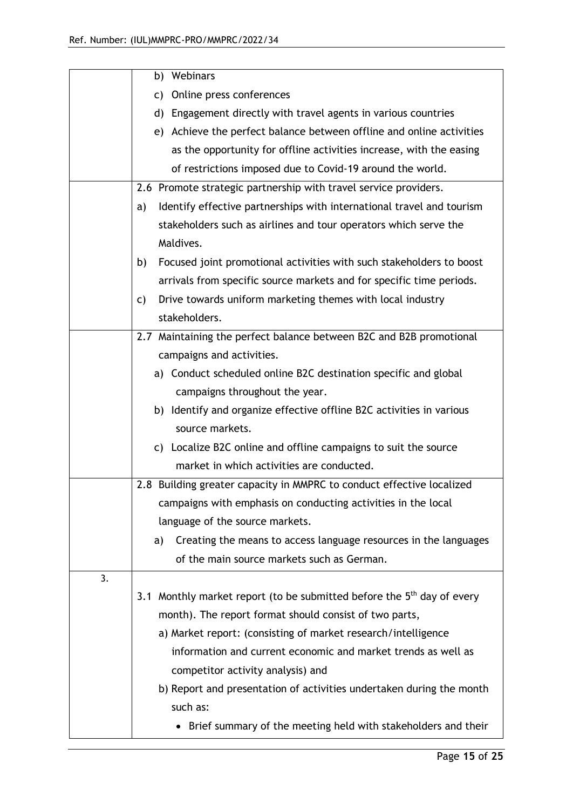|    | b) Webinars                                                                        |
|----|------------------------------------------------------------------------------------|
|    | c) Online press conferences                                                        |
|    | d) Engagement directly with travel agents in various countries                     |
|    | e) Achieve the perfect balance between offline and online activities               |
|    | as the opportunity for offline activities increase, with the easing                |
|    | of restrictions imposed due to Covid-19 around the world.                          |
|    | 2.6 Promote strategic partnership with travel service providers.                   |
|    | Identify effective partnerships with international travel and tourism<br>a)        |
|    | stakeholders such as airlines and tour operators which serve the                   |
|    | Maldives.                                                                          |
|    | Focused joint promotional activities with such stakeholders to boost<br>b)         |
|    | arrivals from specific source markets and for specific time periods.               |
|    | Drive towards uniform marketing themes with local industry<br>$\mathsf{C}$         |
|    | stakeholders.                                                                      |
|    | 2.7 Maintaining the perfect balance between B2C and B2B promotional                |
|    | campaigns and activities.                                                          |
|    | a) Conduct scheduled online B2C destination specific and global                    |
|    | campaigns throughout the year.                                                     |
|    | b) Identify and organize effective offline B2C activities in various               |
|    | source markets.                                                                    |
|    | c) Localize B2C online and offline campaigns to suit the source                    |
|    | market in which activities are conducted.                                          |
|    | 2.8 Building greater capacity in MMPRC to conduct effective localized              |
|    | campaigns with emphasis on conducting activities in the local                      |
|    | language of the source markets.                                                    |
|    | Creating the means to access language resources in the languages<br>a)             |
|    | of the main source markets such as German.                                         |
| 3. |                                                                                    |
|    | 3.1 Monthly market report (to be submitted before the 5 <sup>th</sup> day of every |
|    | month). The report format should consist of two parts,                             |
|    | a) Market report: (consisting of market research/intelligence                      |
|    | information and current economic and market trends as well as                      |
|    | competitor activity analysis) and                                                  |
|    | b) Report and presentation of activities undertaken during the month               |
|    | such as:                                                                           |
|    | Brief summary of the meeting held with stakeholders and their                      |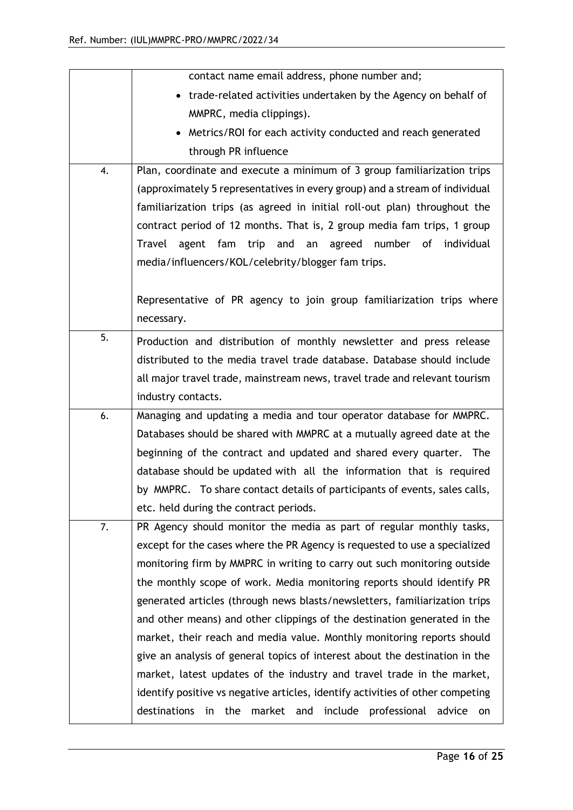|    | contact name email address, phone number and;                                      |
|----|------------------------------------------------------------------------------------|
|    | • trade-related activities undertaken by the Agency on behalf of                   |
|    | MMPRC, media clippings).                                                           |
|    | Metrics/ROI for each activity conducted and reach generated                        |
|    | through PR influence                                                               |
| 4. | Plan, coordinate and execute a minimum of 3 group familiarization trips            |
|    | (approximately 5 representatives in every group) and a stream of individual        |
|    | familiarization trips (as agreed in initial roll-out plan) throughout the          |
|    | contract period of 12 months. That is, 2 group media fam trips, 1 group            |
|    | Travel<br>agent<br>fam<br>trip and<br>agreed<br>number of<br>individual<br>an      |
|    | media/influencers/KOL/celebrity/blogger fam trips.                                 |
|    |                                                                                    |
|    | Representative of PR agency to join group familiarization trips where              |
|    | necessary.                                                                         |
| 5. | Production and distribution of monthly newsletter and press release                |
|    | distributed to the media travel trade database. Database should include            |
|    | all major travel trade, mainstream news, travel trade and relevant tourism         |
|    | industry contacts.                                                                 |
| 6. | Managing and updating a media and tour operator database for MMPRC.                |
|    | Databases should be shared with MMPRC at a mutually agreed date at the             |
|    | beginning of the contract and updated and shared every quarter. The                |
|    | database should be updated with all the information that is required               |
|    | by MMPRC. To share contact details of participants of events, sales calls,         |
|    | etc. held during the contract periods.                                             |
| 7. | PR Agency should monitor the media as part of regular monthly tasks,               |
|    | except for the cases where the PR Agency is requested to use a specialized         |
|    | monitoring firm by MMPRC in writing to carry out such monitoring outside           |
|    | the monthly scope of work. Media monitoring reports should identify PR             |
|    | generated articles (through news blasts/newsletters, familiarization trips         |
|    | and other means) and other clippings of the destination generated in the           |
|    | market, their reach and media value. Monthly monitoring reports should             |
|    | give an analysis of general topics of interest about the destination in the        |
|    | market, latest updates of the industry and travel trade in the market,             |
|    | identify positive vs negative articles, identify activities of other competing     |
|    | destinations<br>professional<br>in<br>the<br>market and<br>include<br>advice<br>on |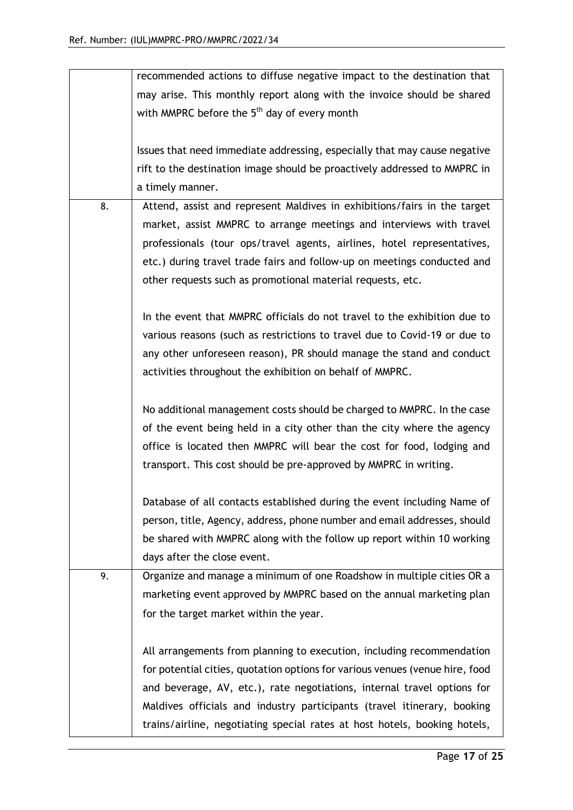| may arise. This monthly report along with the invoice should be shared<br>with MMPRC before the 5 <sup>th</sup> day of every month<br>Issues that need immediate addressing, especially that may cause negative<br>rift to the destination image should be proactively addressed to MMPRC in<br>a timely manner.<br>Attend, assist and represent Maldives in exhibitions/fairs in the target<br>8.<br>market, assist MMPRC to arrange meetings and interviews with travel<br>professionals (tour ops/travel agents, airlines, hotel representatives,<br>etc.) during travel trade fairs and follow-up on meetings conducted and<br>other requests such as promotional material requests, etc.<br>In the event that MMPRC officials do not travel to the exhibition due to<br>various reasons (such as restrictions to travel due to Covid-19 or due to<br>any other unforeseen reason), PR should manage the stand and conduct<br>activities throughout the exhibition on behalf of MMPRC.<br>No additional management costs should be charged to MMPRC. In the case<br>of the event being held in a city other than the city where the agency<br>office is located then MMPRC will bear the cost for food, lodging and |
|-------------------------------------------------------------------------------------------------------------------------------------------------------------------------------------------------------------------------------------------------------------------------------------------------------------------------------------------------------------------------------------------------------------------------------------------------------------------------------------------------------------------------------------------------------------------------------------------------------------------------------------------------------------------------------------------------------------------------------------------------------------------------------------------------------------------------------------------------------------------------------------------------------------------------------------------------------------------------------------------------------------------------------------------------------------------------------------------------------------------------------------------------------------------------------------------------------------------------|
|                                                                                                                                                                                                                                                                                                                                                                                                                                                                                                                                                                                                                                                                                                                                                                                                                                                                                                                                                                                                                                                                                                                                                                                                                         |
|                                                                                                                                                                                                                                                                                                                                                                                                                                                                                                                                                                                                                                                                                                                                                                                                                                                                                                                                                                                                                                                                                                                                                                                                                         |
|                                                                                                                                                                                                                                                                                                                                                                                                                                                                                                                                                                                                                                                                                                                                                                                                                                                                                                                                                                                                                                                                                                                                                                                                                         |
|                                                                                                                                                                                                                                                                                                                                                                                                                                                                                                                                                                                                                                                                                                                                                                                                                                                                                                                                                                                                                                                                                                                                                                                                                         |
|                                                                                                                                                                                                                                                                                                                                                                                                                                                                                                                                                                                                                                                                                                                                                                                                                                                                                                                                                                                                                                                                                                                                                                                                                         |
|                                                                                                                                                                                                                                                                                                                                                                                                                                                                                                                                                                                                                                                                                                                                                                                                                                                                                                                                                                                                                                                                                                                                                                                                                         |
|                                                                                                                                                                                                                                                                                                                                                                                                                                                                                                                                                                                                                                                                                                                                                                                                                                                                                                                                                                                                                                                                                                                                                                                                                         |
|                                                                                                                                                                                                                                                                                                                                                                                                                                                                                                                                                                                                                                                                                                                                                                                                                                                                                                                                                                                                                                                                                                                                                                                                                         |
|                                                                                                                                                                                                                                                                                                                                                                                                                                                                                                                                                                                                                                                                                                                                                                                                                                                                                                                                                                                                                                                                                                                                                                                                                         |
|                                                                                                                                                                                                                                                                                                                                                                                                                                                                                                                                                                                                                                                                                                                                                                                                                                                                                                                                                                                                                                                                                                                                                                                                                         |
|                                                                                                                                                                                                                                                                                                                                                                                                                                                                                                                                                                                                                                                                                                                                                                                                                                                                                                                                                                                                                                                                                                                                                                                                                         |
|                                                                                                                                                                                                                                                                                                                                                                                                                                                                                                                                                                                                                                                                                                                                                                                                                                                                                                                                                                                                                                                                                                                                                                                                                         |
|                                                                                                                                                                                                                                                                                                                                                                                                                                                                                                                                                                                                                                                                                                                                                                                                                                                                                                                                                                                                                                                                                                                                                                                                                         |
|                                                                                                                                                                                                                                                                                                                                                                                                                                                                                                                                                                                                                                                                                                                                                                                                                                                                                                                                                                                                                                                                                                                                                                                                                         |
|                                                                                                                                                                                                                                                                                                                                                                                                                                                                                                                                                                                                                                                                                                                                                                                                                                                                                                                                                                                                                                                                                                                                                                                                                         |
|                                                                                                                                                                                                                                                                                                                                                                                                                                                                                                                                                                                                                                                                                                                                                                                                                                                                                                                                                                                                                                                                                                                                                                                                                         |
|                                                                                                                                                                                                                                                                                                                                                                                                                                                                                                                                                                                                                                                                                                                                                                                                                                                                                                                                                                                                                                                                                                                                                                                                                         |
|                                                                                                                                                                                                                                                                                                                                                                                                                                                                                                                                                                                                                                                                                                                                                                                                                                                                                                                                                                                                                                                                                                                                                                                                                         |
|                                                                                                                                                                                                                                                                                                                                                                                                                                                                                                                                                                                                                                                                                                                                                                                                                                                                                                                                                                                                                                                                                                                                                                                                                         |
|                                                                                                                                                                                                                                                                                                                                                                                                                                                                                                                                                                                                                                                                                                                                                                                                                                                                                                                                                                                                                                                                                                                                                                                                                         |
|                                                                                                                                                                                                                                                                                                                                                                                                                                                                                                                                                                                                                                                                                                                                                                                                                                                                                                                                                                                                                                                                                                                                                                                                                         |
|                                                                                                                                                                                                                                                                                                                                                                                                                                                                                                                                                                                                                                                                                                                                                                                                                                                                                                                                                                                                                                                                                                                                                                                                                         |
| transport. This cost should be pre-approved by MMPRC in writing.                                                                                                                                                                                                                                                                                                                                                                                                                                                                                                                                                                                                                                                                                                                                                                                                                                                                                                                                                                                                                                                                                                                                                        |
|                                                                                                                                                                                                                                                                                                                                                                                                                                                                                                                                                                                                                                                                                                                                                                                                                                                                                                                                                                                                                                                                                                                                                                                                                         |
| Database of all contacts established during the event including Name of                                                                                                                                                                                                                                                                                                                                                                                                                                                                                                                                                                                                                                                                                                                                                                                                                                                                                                                                                                                                                                                                                                                                                 |
| person, title, Agency, address, phone number and email addresses, should                                                                                                                                                                                                                                                                                                                                                                                                                                                                                                                                                                                                                                                                                                                                                                                                                                                                                                                                                                                                                                                                                                                                                |
| be shared with MMPRC along with the follow up report within 10 working                                                                                                                                                                                                                                                                                                                                                                                                                                                                                                                                                                                                                                                                                                                                                                                                                                                                                                                                                                                                                                                                                                                                                  |
| days after the close event.                                                                                                                                                                                                                                                                                                                                                                                                                                                                                                                                                                                                                                                                                                                                                                                                                                                                                                                                                                                                                                                                                                                                                                                             |
| Organize and manage a minimum of one Roadshow in multiple cities OR a<br>9.                                                                                                                                                                                                                                                                                                                                                                                                                                                                                                                                                                                                                                                                                                                                                                                                                                                                                                                                                                                                                                                                                                                                             |
|                                                                                                                                                                                                                                                                                                                                                                                                                                                                                                                                                                                                                                                                                                                                                                                                                                                                                                                                                                                                                                                                                                                                                                                                                         |
| marketing event approved by MMPRC based on the annual marketing plan                                                                                                                                                                                                                                                                                                                                                                                                                                                                                                                                                                                                                                                                                                                                                                                                                                                                                                                                                                                                                                                                                                                                                    |
| for the target market within the year.                                                                                                                                                                                                                                                                                                                                                                                                                                                                                                                                                                                                                                                                                                                                                                                                                                                                                                                                                                                                                                                                                                                                                                                  |
|                                                                                                                                                                                                                                                                                                                                                                                                                                                                                                                                                                                                                                                                                                                                                                                                                                                                                                                                                                                                                                                                                                                                                                                                                         |
| All arrangements from planning to execution, including recommendation                                                                                                                                                                                                                                                                                                                                                                                                                                                                                                                                                                                                                                                                                                                                                                                                                                                                                                                                                                                                                                                                                                                                                   |
| for potential cities, quotation options for various venues (venue hire, food                                                                                                                                                                                                                                                                                                                                                                                                                                                                                                                                                                                                                                                                                                                                                                                                                                                                                                                                                                                                                                                                                                                                            |
| and beverage, AV, etc.), rate negotiations, internal travel options for                                                                                                                                                                                                                                                                                                                                                                                                                                                                                                                                                                                                                                                                                                                                                                                                                                                                                                                                                                                                                                                                                                                                                 |
| Maldives officials and industry participants (travel itinerary, booking                                                                                                                                                                                                                                                                                                                                                                                                                                                                                                                                                                                                                                                                                                                                                                                                                                                                                                                                                                                                                                                                                                                                                 |
| trains/airline, negotiating special rates at host hotels, booking hotels,                                                                                                                                                                                                                                                                                                                                                                                                                                                                                                                                                                                                                                                                                                                                                                                                                                                                                                                                                                                                                                                                                                                                               |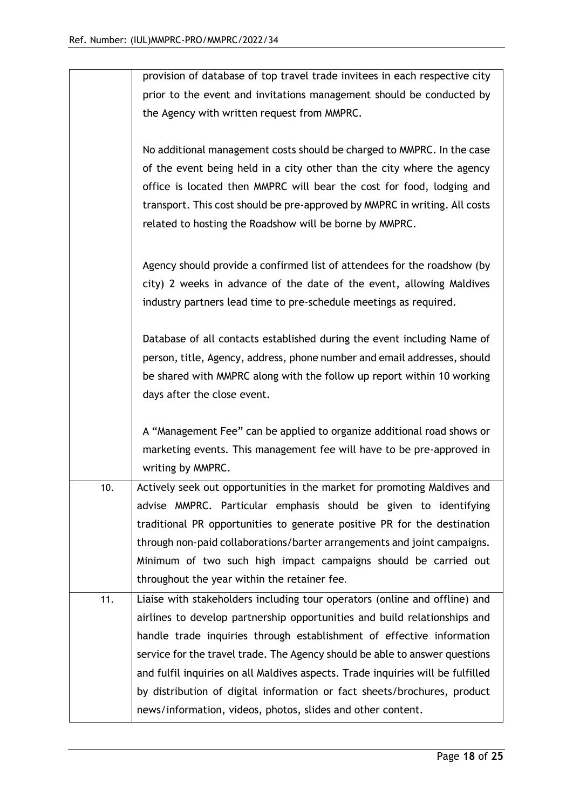|     | provision of database of top travel trade invitees in each respective city      |
|-----|---------------------------------------------------------------------------------|
|     | prior to the event and invitations management should be conducted by            |
|     | the Agency with written request from MMPRC.                                     |
|     |                                                                                 |
|     | No additional management costs should be charged to MMPRC. In the case          |
|     | of the event being held in a city other than the city where the agency          |
|     | office is located then MMPRC will bear the cost for food, lodging and           |
|     | transport. This cost should be pre-approved by MMPRC in writing. All costs      |
|     | related to hosting the Roadshow will be borne by MMPRC.                         |
|     |                                                                                 |
|     | Agency should provide a confirmed list of attendees for the roadshow (by        |
|     | city) 2 weeks in advance of the date of the event, allowing Maldives            |
|     | industry partners lead time to pre-schedule meetings as required.               |
|     |                                                                                 |
|     | Database of all contacts established during the event including Name of         |
|     | person, title, Agency, address, phone number and email addresses, should        |
|     | be shared with MMPRC along with the follow up report within 10 working          |
|     | days after the close event.                                                     |
|     |                                                                                 |
|     | A "Management Fee" can be applied to organize additional road shows or          |
|     | marketing events. This management fee will have to be pre-approved in           |
|     | writing by MMPRC.                                                               |
| 10. | Actively seek out opportunities in the market for promoting Maldives and        |
|     | advise MMPRC. Particular emphasis should be given to identifying                |
|     | traditional PR opportunities to generate positive PR for the destination        |
|     | through non-paid collaborations/barter arrangements and joint campaigns.        |
|     | Minimum of two such high impact campaigns should be carried out                 |
|     | throughout the year within the retainer fee.                                    |
| 11. | Liaise with stakeholders including tour operators (online and offline) and      |
|     | airlines to develop partnership opportunities and build relationships and       |
|     | handle trade inquiries through establishment of effective information           |
|     | service for the travel trade. The Agency should be able to answer questions     |
|     | and fulfil inquiries on all Maldives aspects. Trade inquiries will be fulfilled |
|     | by distribution of digital information or fact sheets/brochures, product        |
|     | news/information, videos, photos, slides and other content.                     |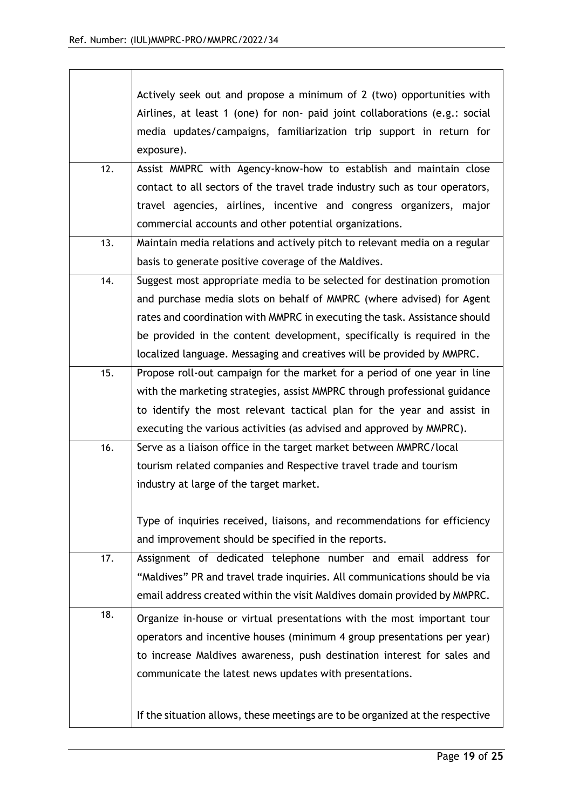|     | Actively seek out and propose a minimum of 2 (two) opportunities with<br>Airlines, at least 1 (one) for non- paid joint collaborations (e.g.: social<br>media updates/campaigns, familiarization trip support in return for<br>exposure).                                                                                                                                           |
|-----|-------------------------------------------------------------------------------------------------------------------------------------------------------------------------------------------------------------------------------------------------------------------------------------------------------------------------------------------------------------------------------------|
| 12. | Assist MMPRC with Agency-know-how to establish and maintain close<br>contact to all sectors of the travel trade industry such as tour operators,<br>travel agencies, airlines, incentive and congress organizers, major<br>commercial accounts and other potential organizations.                                                                                                   |
| 13. | Maintain media relations and actively pitch to relevant media on a regular<br>basis to generate positive coverage of the Maldives.                                                                                                                                                                                                                                                  |
| 14. | Suggest most appropriate media to be selected for destination promotion<br>and purchase media slots on behalf of MMPRC (where advised) for Agent<br>rates and coordination with MMPRC in executing the task. Assistance should<br>be provided in the content development, specifically is required in the<br>localized language. Messaging and creatives will be provided by MMPRC. |
| 15. | Propose roll-out campaign for the market for a period of one year in line<br>with the marketing strategies, assist MMPRC through professional guidance<br>to identify the most relevant tactical plan for the year and assist in<br>executing the various activities (as advised and approved by MMPRC).                                                                            |
| 16. | Serve as a liaison office in the target market between MMPRC/local<br>tourism related companies and Respective travel trade and tourism<br>industry at large of the target market.<br>Type of inquiries received, liaisons, and recommendations for efficiency<br>and improvement should be specified in the reports.                                                               |
| 17. | Assignment of dedicated telephone number and email address for<br>"Maldives" PR and travel trade inquiries. All communications should be via<br>email address created within the visit Maldives domain provided by MMPRC.                                                                                                                                                           |
| 18. | Organize in-house or virtual presentations with the most important tour<br>operators and incentive houses (minimum 4 group presentations per year)<br>to increase Maldives awareness, push destination interest for sales and<br>communicate the latest news updates with presentations.                                                                                            |
|     | If the situation allows, these meetings are to be organized at the respective                                                                                                                                                                                                                                                                                                       |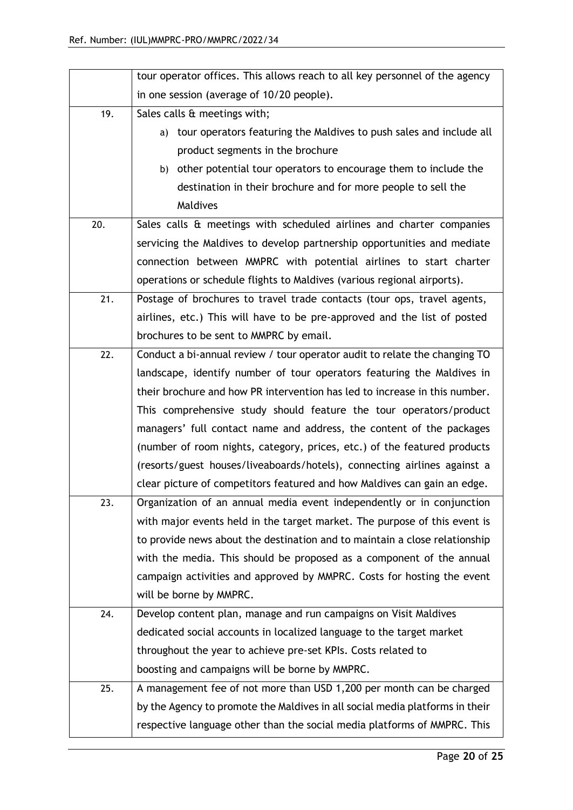|     | tour operator offices. This allows reach to all key personnel of the agency  |
|-----|------------------------------------------------------------------------------|
|     | in one session (average of 10/20 people).                                    |
| 19. | Sales calls & meetings with;                                                 |
|     | tour operators featuring the Maldives to push sales and include all<br>a)    |
|     | product segments in the brochure                                             |
|     | b) other potential tour operators to encourage them to include the           |
|     | destination in their brochure and for more people to sell the                |
|     | Maldives                                                                     |
| 20. | Sales calls & meetings with scheduled airlines and charter companies         |
|     | servicing the Maldives to develop partnership opportunities and mediate      |
|     | connection between MMPRC with potential airlines to start charter            |
|     | operations or schedule flights to Maldives (various regional airports).      |
| 21. | Postage of brochures to travel trade contacts (tour ops, travel agents,      |
|     | airlines, etc.) This will have to be pre-approved and the list of posted     |
|     | brochures to be sent to MMPRC by email.                                      |
| 22. | Conduct a bi-annual review / tour operator audit to relate the changing TO   |
|     | landscape, identify number of tour operators featuring the Maldives in       |
|     | their brochure and how PR intervention has led to increase in this number.   |
|     | This comprehensive study should feature the tour operators/product           |
|     | managers' full contact name and address, the content of the packages         |
|     | (number of room nights, category, prices, etc.) of the featured products     |
|     | (resorts/guest houses/liveaboards/hotels), connecting airlines against a     |
|     | clear picture of competitors featured and how Maldives can gain an edge.     |
| 23. | Organization of an annual media event independently or in conjunction        |
|     | with major events held in the target market. The purpose of this event is    |
|     | to provide news about the destination and to maintain a close relationship   |
|     | with the media. This should be proposed as a component of the annual         |
|     | campaign activities and approved by MMPRC. Costs for hosting the event       |
|     | will be borne by MMPRC.                                                      |
| 24. | Develop content plan, manage and run campaigns on Visit Maldives             |
|     | dedicated social accounts in localized language to the target market         |
|     | throughout the year to achieve pre-set KPIs. Costs related to                |
|     | boosting and campaigns will be borne by MMPRC.                               |
| 25. | A management fee of not more than USD 1,200 per month can be charged         |
|     | by the Agency to promote the Maldives in all social media platforms in their |
|     | respective language other than the social media platforms of MMPRC. This     |
|     |                                                                              |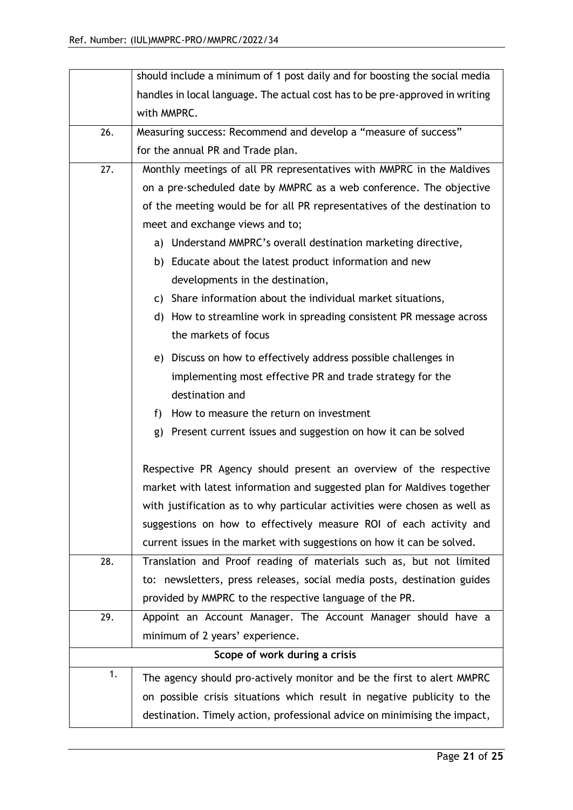|     | should include a minimum of 1 post daily and for boosting the social media   |  |  |  |  |  |  |
|-----|------------------------------------------------------------------------------|--|--|--|--|--|--|
|     | handles in local language. The actual cost has to be pre-approved in writing |  |  |  |  |  |  |
|     | with MMPRC.                                                                  |  |  |  |  |  |  |
| 26. | Measuring success: Recommend and develop a "measure of success"              |  |  |  |  |  |  |
|     | for the annual PR and Trade plan.                                            |  |  |  |  |  |  |
| 27. | Monthly meetings of all PR representatives with MMPRC in the Maldives        |  |  |  |  |  |  |
|     | on a pre-scheduled date by MMPRC as a web conference. The objective          |  |  |  |  |  |  |
|     | of the meeting would be for all PR representatives of the destination to     |  |  |  |  |  |  |
|     | meet and exchange views and to;                                              |  |  |  |  |  |  |
|     | a) Understand MMPRC's overall destination marketing directive,               |  |  |  |  |  |  |
|     | b) Educate about the latest product information and new                      |  |  |  |  |  |  |
|     | developments in the destination,                                             |  |  |  |  |  |  |
|     | c) Share information about the individual market situations,                 |  |  |  |  |  |  |
|     | d) How to streamline work in spreading consistent PR message across          |  |  |  |  |  |  |
|     | the markets of focus                                                         |  |  |  |  |  |  |
|     | e) Discuss on how to effectively address possible challenges in              |  |  |  |  |  |  |
|     | implementing most effective PR and trade strategy for the                    |  |  |  |  |  |  |
|     | destination and                                                              |  |  |  |  |  |  |
|     | How to measure the return on investment<br>f)                                |  |  |  |  |  |  |
|     | Present current issues and suggestion on how it can be solved<br>g)          |  |  |  |  |  |  |
|     |                                                                              |  |  |  |  |  |  |
|     | Respective PR Agency should present an overview of the respective            |  |  |  |  |  |  |
|     | market with latest information and suggested plan for Maldives together      |  |  |  |  |  |  |
|     | with justification as to why particular activities were chosen as well as    |  |  |  |  |  |  |
|     | suggestions on how to effectively measure ROI of each activity and           |  |  |  |  |  |  |
|     | current issues in the market with suggestions on how it can be solved.       |  |  |  |  |  |  |
| 28. | Translation and Proof reading of materials such as, but not limited          |  |  |  |  |  |  |
|     | to: newsletters, press releases, social media posts, destination guides      |  |  |  |  |  |  |
|     | provided by MMPRC to the respective language of the PR.                      |  |  |  |  |  |  |
| 29. | Appoint an Account Manager. The Account Manager should have a                |  |  |  |  |  |  |
|     | minimum of 2 years' experience.                                              |  |  |  |  |  |  |
|     | Scope of work during a crisis                                                |  |  |  |  |  |  |
| 1.  | The agency should pro-actively monitor and be the first to alert MMPRC       |  |  |  |  |  |  |
|     | on possible crisis situations which result in negative publicity to the      |  |  |  |  |  |  |
|     | destination. Timely action, professional advice on minimising the impact,    |  |  |  |  |  |  |
|     |                                                                              |  |  |  |  |  |  |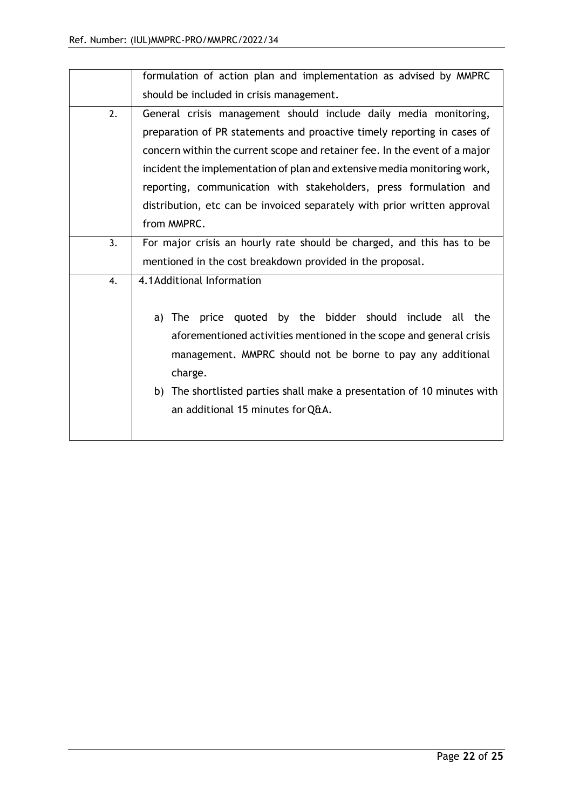|    | formulation of action plan and implementation as advised by MMPRC          |
|----|----------------------------------------------------------------------------|
|    | should be included in crisis management.                                   |
| 2. | General crisis management should include daily media monitoring,           |
|    | preparation of PR statements and proactive timely reporting in cases of    |
|    | concern within the current scope and retainer fee. In the event of a major |
|    | incident the implementation of plan and extensive media monitoring work,   |
|    | reporting, communication with stakeholders, press formulation and          |
|    | distribution, etc can be invoiced separately with prior written approval   |
|    | from MMPRC.                                                                |
| 3. | For major crisis an hourly rate should be charged, and this has to be      |
|    | mentioned in the cost breakdown provided in the proposal.                  |
| 4. | 4.1 Additional Information                                                 |
|    |                                                                            |
|    | by the bidder should include all the<br>a) The<br>price<br>quoted          |
|    | aforementioned activities mentioned in the scope and general crisis        |
|    | management. MMPRC should not be borne to pay any additional                |
|    | charge.                                                                    |
|    | b) The shortlisted parties shall make a presentation of 10 minutes with    |
|    | an additional 15 minutes for Q&A.                                          |
|    |                                                                            |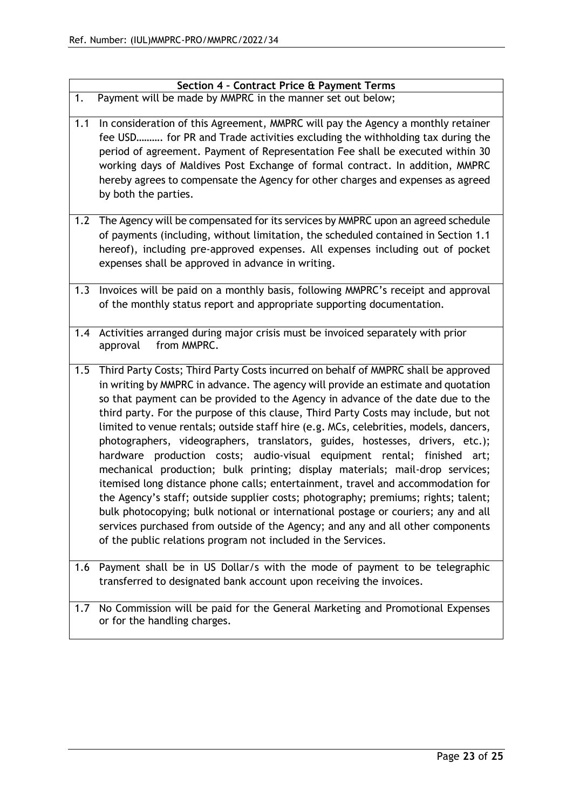|     | Section 4 - Contract Price & Payment Terms                                                                                                                                                                                                                                                                                                                                                                                                                                                                                                                                                                                                                                                                                                                                                                                                                                                                                                                                                                                                                                                                   |
|-----|--------------------------------------------------------------------------------------------------------------------------------------------------------------------------------------------------------------------------------------------------------------------------------------------------------------------------------------------------------------------------------------------------------------------------------------------------------------------------------------------------------------------------------------------------------------------------------------------------------------------------------------------------------------------------------------------------------------------------------------------------------------------------------------------------------------------------------------------------------------------------------------------------------------------------------------------------------------------------------------------------------------------------------------------------------------------------------------------------------------|
| 1.  | Payment will be made by MMPRC in the manner set out below;                                                                                                                                                                                                                                                                                                                                                                                                                                                                                                                                                                                                                                                                                                                                                                                                                                                                                                                                                                                                                                                   |
| 1.1 | In consideration of this Agreement, MMPRC will pay the Agency a monthly retainer<br>fee USD for PR and Trade activities excluding the withholding tax during the<br>period of agreement. Payment of Representation Fee shall be executed within 30<br>working days of Maldives Post Exchange of formal contract. In addition, MMPRC<br>hereby agrees to compensate the Agency for other charges and expenses as agreed<br>by both the parties.                                                                                                                                                                                                                                                                                                                                                                                                                                                                                                                                                                                                                                                               |
| 1.2 | The Agency will be compensated for its services by MMPRC upon an agreed schedule<br>of payments (including, without limitation, the scheduled contained in Section 1.1<br>hereof), including pre-approved expenses. All expenses including out of pocket<br>expenses shall be approved in advance in writing.                                                                                                                                                                                                                                                                                                                                                                                                                                                                                                                                                                                                                                                                                                                                                                                                |
| 1.3 | Invoices will be paid on a monthly basis, following MMPRC's receipt and approval<br>of the monthly status report and appropriate supporting documentation.                                                                                                                                                                                                                                                                                                                                                                                                                                                                                                                                                                                                                                                                                                                                                                                                                                                                                                                                                   |
| 1.4 | Activities arranged during major crisis must be invoiced separately with prior<br>from MMPRC.<br>approval                                                                                                                                                                                                                                                                                                                                                                                                                                                                                                                                                                                                                                                                                                                                                                                                                                                                                                                                                                                                    |
| 1.5 | Third Party Costs; Third Party Costs incurred on behalf of MMPRC shall be approved<br>in writing by MMPRC in advance. The agency will provide an estimate and quotation<br>so that payment can be provided to the Agency in advance of the date due to the<br>third party. For the purpose of this clause, Third Party Costs may include, but not<br>limited to venue rentals; outside staff hire (e.g. MCs, celebrities, models, dancers,<br>photographers, videographers, translators, guides, hostesses, drivers, etc.);<br>hardware production costs; audio-visual equipment rental; finished<br>art;<br>mechanical production; bulk printing; display materials; mail-drop services;<br>itemised long distance phone calls; entertainment, travel and accommodation for<br>the Agency's staff; outside supplier costs; photography; premiums; rights; talent;<br>bulk photocopying; bulk notional or international postage or couriers; any and all<br>services purchased from outside of the Agency; and any and all other components<br>of the public relations program not included in the Services. |
| 1.6 | Payment shall be in US Dollar/s with the mode of payment to be telegraphic<br>transferred to designated bank account upon receiving the invoices.                                                                                                                                                                                                                                                                                                                                                                                                                                                                                                                                                                                                                                                                                                                                                                                                                                                                                                                                                            |
| 1.7 | No Commission will be paid for the General Marketing and Promotional Expenses<br>or for the handling charges.                                                                                                                                                                                                                                                                                                                                                                                                                                                                                                                                                                                                                                                                                                                                                                                                                                                                                                                                                                                                |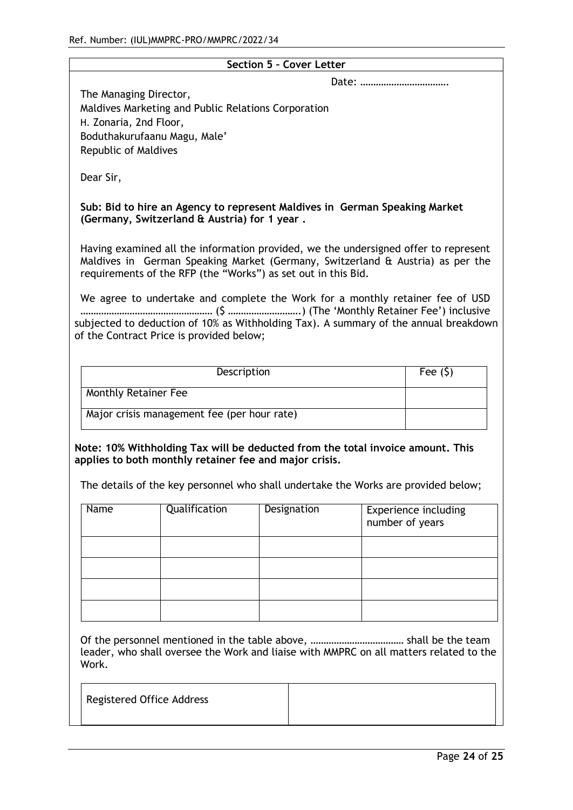|                                                                                                          |                                                                                                                                                                                                                                                                                                                                                                     |  | Section 5 - Cover Letter |  |                                                                                      |
|----------------------------------------------------------------------------------------------------------|---------------------------------------------------------------------------------------------------------------------------------------------------------------------------------------------------------------------------------------------------------------------------------------------------------------------------------------------------------------------|--|--------------------------|--|--------------------------------------------------------------------------------------|
| The Managing Director,<br>H. Zonaria, 2nd Floor,<br>Boduthakurufaanu Magu, Male'<br>Republic of Maldives | Maldives Marketing and Public Relations Corporation                                                                                                                                                                                                                                                                                                                 |  |                          |  |                                                                                      |
| Dear Sir,                                                                                                |                                                                                                                                                                                                                                                                                                                                                                     |  |                          |  |                                                                                      |
|                                                                                                          | Sub: Bid to hire an Agency to represent Maldives in German Speaking Market<br>(Germany, Switzerland & Austria) for 1 year.                                                                                                                                                                                                                                          |  |                          |  |                                                                                      |
|                                                                                                          | Having examined all the information provided, we the undersigned offer to represent<br>Maldives in German Speaking Market (Germany, Switzerland & Austria) as per the<br>requirements of the RFP (the "Works") as set out in this Bid.<br>We agree to undertake and complete the Work for a monthly retainer fee of USD<br>of the Contract Price is provided below; |  |                          |  | subjected to deduction of 10% as Withholding Tax). A summary of the annual breakdown |
|                                                                                                          |                                                                                                                                                                                                                                                                                                                                                                     |  |                          |  |                                                                                      |
| Fee $(5)$<br>Description                                                                                 |                                                                                                                                                                                                                                                                                                                                                                     |  |                          |  |                                                                                      |
| Monthly Retainer Fee                                                                                     |                                                                                                                                                                                                                                                                                                                                                                     |  |                          |  |                                                                                      |
|                                                                                                          | Major crisis management fee (per hour rate)                                                                                                                                                                                                                                                                                                                         |  |                          |  |                                                                                      |
|                                                                                                          | Note: 10% Withholding Tax will be deducted from the total invoice amount. This<br>applies to both monthly retainer fee and major crisis.<br>The details of the key personnel who shall undertake the Works are provided below;                                                                                                                                      |  |                          |  |                                                                                      |
| Name                                                                                                     | Qualification                                                                                                                                                                                                                                                                                                                                                       |  | Designation              |  | <b>Experience including</b><br>number of years                                       |
|                                                                                                          |                                                                                                                                                                                                                                                                                                                                                                     |  |                          |  |                                                                                      |
| Work.                                                                                                    | leader, who shall oversee the Work and liaise with MMPRC on all matters related to the                                                                                                                                                                                                                                                                              |  |                          |  |                                                                                      |
| <b>Registered Office Address</b>                                                                         |                                                                                                                                                                                                                                                                                                                                                                     |  |                          |  |                                                                                      |